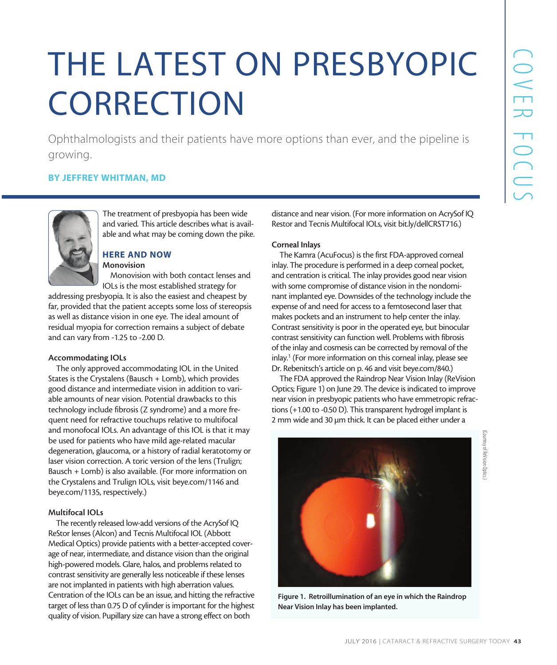# THE LATEST ON PRESBYOPIC **CORRECTION**

Ophthalmologists and their patients have more options than ever, and the pipeline is growing.

# BY JEFFREY WHITMAN, MD



The treatment of presbyopia has been wide and varied. This article describes what is available and what may be coming down the pike.

# HERE AND NOW

Monovision Monovision with both contact lenses and

IOLs is the most established strategy for

addressing presbyopia. It is also the easiest and cheapest by far, provided that the patient accepts some loss of stereopsis as well as distance vision in one eye. The ideal amount of residual myopia for correction remains a subject of debate and can vary from -1.25 to -2.00 D.

# Accommodating IOLs

The only approved accommodating IOL in the United States is the Crystalens (Bausch + Lomb), which provides good distance and intermediate vision in addition to variable amounts of near vision. Potential drawbacks to this technology include fibrosis (Z syndrome) and a more frequent need for refractive touchups relative to multifocal and monofocal IOLs. An advantage of this IOL is that it may be used for patients who have mild age-related macular degeneration, glaucoma, or a history of radial keratotomy or laser vision correction. A toric version of the lens (Trulign; Bausch + Lomb) is also available. (For more information on the Crystalens and Trulign IOLs, visit beye.com/1146 and beye.com/1135, respectively.)

# Multifocal IOLs

The recently released low-add versions of the AcrySof IQ ReStor lenses (Alcon) and Tecnis Multifocal IOL (Abbott Medical Optics) provide patients with a better-accepted coverage of near, intermediate, and distance vision than the original high-powered models. Glare, halos, and problems related to contrast sensitivity are generally less noticeable if these lenses are not implanted in patients with high aberration values. Centration of the IOLs can be an issue, and hitting the refractive target of less than 0.75 D of cylinder is important for the highest quality of vision. Pupillary size can have a strong effect on both

distance and near vision. (For more information on AcrySof IQ Restor and Tecnis Multifocal IOLs, visit bit.ly/dellCRST716.)

#### Corneal Inlays

The Kamra (AcuFocus) is the first FDA-approved corneal inlay. The procedure is performed in a deep corneal pocket, and centration is critical. The inlay provides good near vision with some compromise of distance vision in the nondominant implanted eye. Downsides of the technology include the expense of and need for access to a femtosecond laser that makes pockets and an instrument to help center the inlay. Contrast sensitivity is poor in the operated eye, but binocular contrast sensitivity can function well. Problems with fibrosis of the inlay and cosmesis can be corrected by removal of the inlay.<sup>1</sup> (For more information on this corneal inlay, please see Dr. Rebenitsch's article on p. 46 and visit beye.com/840.)

The FDA approved the Raindrop Near Vision Inlay (ReVision Optics; Figure 1) on June 29. The device is indicated to improve near vision in presbyopic patients who have emmetropic refractions (+1.00 to -0.50 D). This transparent hydrogel implant is 2 mm wide and 30 µm thick. It can be placed either under a



Figure 1. Retroillumination of an eye in which the Raindrop Near Vision Inlay has been implanted.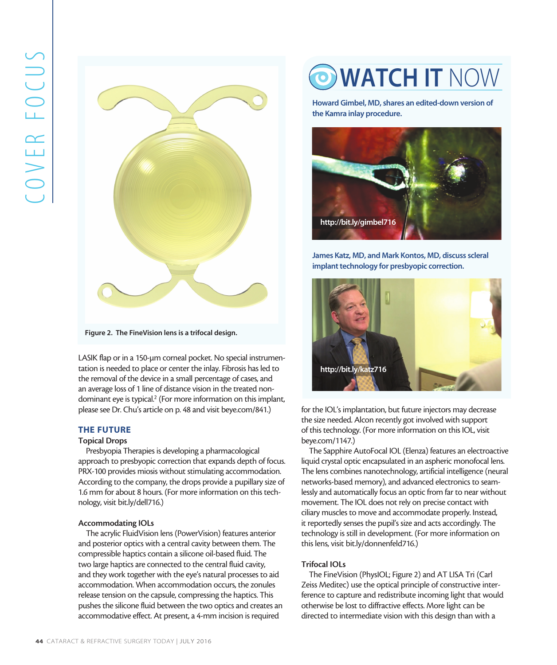

Figure 2. The FineVision lens is a trifocal design.

LASIK flap or in a 150-um corneal pocket. No special instrumentation is needed to place or center the inlay. Fibrosis has led to the removal of the device in a small percentage of cases, and an average loss of 1 line of distance vision in the treated nondominant eye is typical.<sup>2</sup> (For more information on this implant, please see Dr. Chu's article on p. 48 and visit beye.com/841.)

# THE FUTURE

#### Topical Drops

Presbyopia Therapies is developing a pharmacological approach to presbyopic correction that expands depth of focus. PRX-100 provides miosis without stimulating accommodation. According to the company, the drops provide a pupillary size of 1.6 mm for about 8 hours. (For more information on this technology, visit bit.ly/dell716.)

# Accommodating IOLs

The acrylic FluidVision lens (PowerVision) features anterior and posterior optics with a central cavity between them. The compressible haptics contain a silicone oil-based fluid. The two large haptics are connected to the central fluid cavity, and they work together with the eye's natural processes to aid accommodation. When accommodation occurs, the zonules release tension on the capsule, compressing the haptics. This pushes the silicone fluid between the two optics and creates an accommodative effect. At present, a 4-mm incision is required

# O WATCH IT NOW

Howard Gimbel, MD, shares an edited-down version of the Kamra inlay procedure.



James Katz, MD, and Mark Kontos, MD, discuss scleral implant technology for presbyopic correction.



for the IOL's implantation, but future injectors may decrease the size needed. Alcon recently got involved with support of this technology. (For more information on this IOL, visit beye.com/1147.)

The Sapphire AutoFocal IOL (Elenza) features an electroactive liquid crystal optic encapsulated in an aspheric monofocal lens. The lens combines nanotechnology, artificial intelligence (neural networks-based memory), and advanced electronics to seamlessly and automatically focus an optic from far to near without movement. The IOL does not rely on precise contact with ciliary muscles to move and accommodate properly. Instead, it reportedly senses the pupil's size and acts accordingly. The technology is still in development. (For more information on this lens, visit bit.ly/donnenfeld716.)

# Trifocal IOLs

The FineVision (PhysIOL; Figure 2) and AT LISA Tri (Carl Zeiss Meditec) use the optical principle of constructive interference to capture and redistribute incoming light that would otherwise be lost to diffractive effects. More light can be directed to intermediate vision with this design than with a